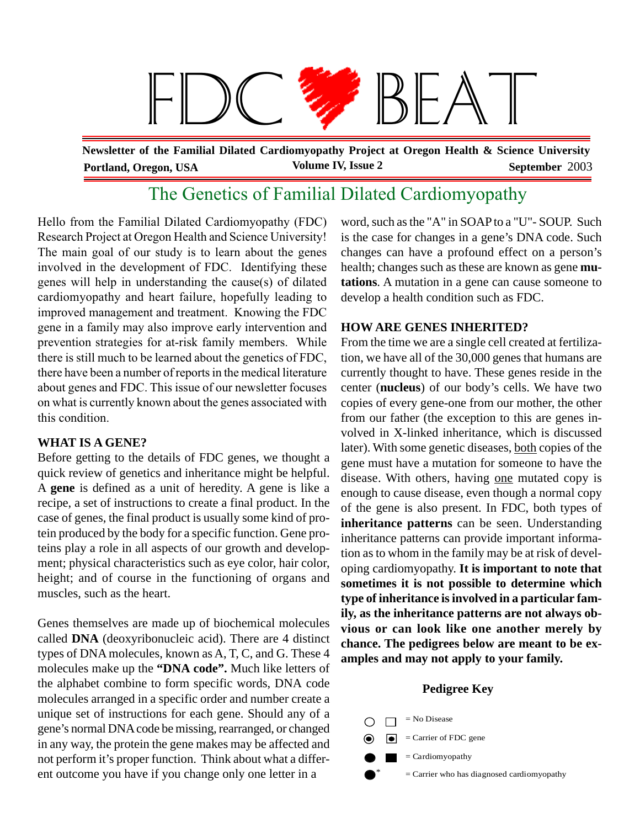

**Portland, Oregon, USA Volume IV, Issue 2 September** 2003 **Newsletter of the Familial Dilated Cardiomyopathy Project at Oregon Health & Science University**

# The Genetics of Familial Dilated Cardiomyopathy

Hello from the Familial Dilated Cardiomyopathy (FDC) Research Project at Oregon Health and Science University! The main goal of our study is to learn about the genes involved in the development of FDC. Identifying these genes will help in understanding the cause(s) of dilated cardiomyopathy and heart failure, hopefully leading to improved management and treatment. Knowing the FDC gene in a family may also improve early intervention and prevention strategies for at-risk family members. While there is still much to be learned about the genetics of FDC, there have been a number of reports in the medical literature about genes and FDC. This issue of our newsletter focuses on what is currently known about the genes associated with this condition.

# **WHAT IS A GENE?**

Before getting to the details of FDC genes, we thought a quick review of genetics and inheritance might be helpful. A **gene** is defined as a unit of heredity. A gene is like a recipe, a set of instructions to create a final product. In the case of genes, the final product is usually some kind of protein produced by the body for a specific function. Gene proteins play a role in all aspects of our growth and development; physical characteristics such as eye color, hair color, height; and of course in the functioning of organs and muscles, such as the heart.

Genes themselves are made up of biochemical molecules called **DNA** (deoxyribonucleic acid). There are 4 distinct types of DNA molecules, known as A, T, C, and G. These 4 molecules make up the **"DNA code".** Much like letters of the alphabet combine to form specific words, DNA code molecules arranged in a specific order and number create a unique set of instructions for each gene. Should any of a gene's normal DNA code be missing, rearranged, or changed in any way, the protein the gene makes may be affected and not perform it's proper function. Think about what a different outcome you have if you change only one letter in a

word, such as the "A" in SOAP to a "U"- SOUP. Such is the case for changes in a gene's DNA code. Such changes can have a profound effect on a person's health; changes such as these are known as gene **mutations**. A mutation in a gene can cause someone to develop a health condition such as FDC.

# **HOW ARE GENES INHERITED?**

From the time we are a single cell created at fertilization, we have all of the 30,000 genes that humans are currently thought to have. These genes reside in the center (**nucleus**) of our body's cells. We have two copies of every gene-one from our mother, the other from our father (the exception to this are genes involved in X-linked inheritance, which is discussed later). With some genetic diseases, both copies of the gene must have a mutation for someone to have the disease. With others, having one mutated copy is enough to cause disease, even though a normal copy of the gene is also present. In FDC, both types of **inheritance patterns** can be seen. Understanding inheritance patterns can provide important information as to whom in the family may be at risk of developing cardiomyopathy. **It is important to note that sometimes it is not possible to determine which type of inheritance is involved in a particular family, as the inheritance patterns are not always obvious or can look like one another merely by chance. The pedigrees below are meant to be examples and may not apply to your family.**

#### **Pedigree Key**

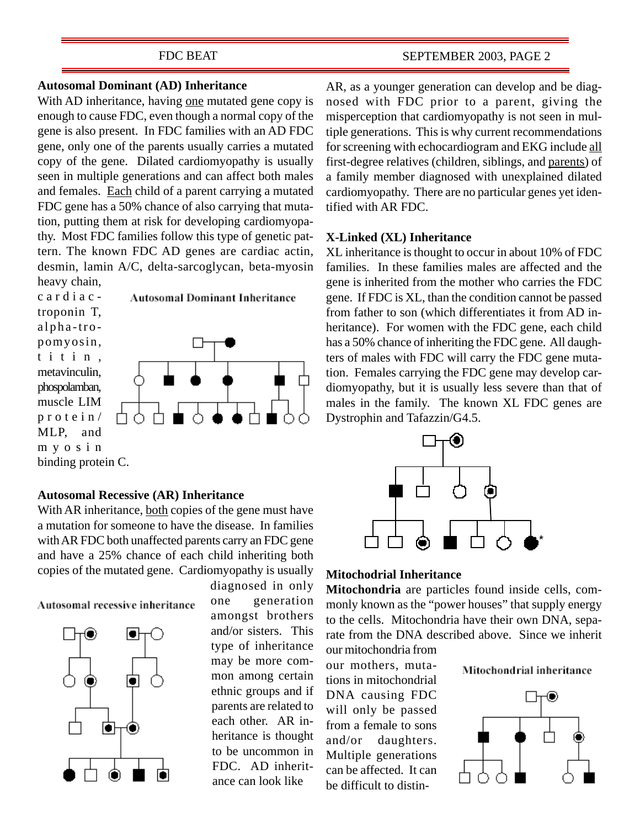#### FDC BEAT

## **Autosomal Dominant (AD) Inheritance**

With AD inheritance, having one mutated gene copy is enough to cause FDC, even though a normal copy of the gene is also present. In FDC families with an AD FDC gene, only one of the parents usually carries a mutated copy of the gene. Dilated cardiomyopathy is usually seen in multiple generations and can affect both males and females. Each child of a parent carrying a mutated FDC gene has a 50% chance of also carrying that mutation, putting them at risk for developing cardiomyopathy. Most FDC families follow this type of genetic pattern. The known FDC AD genes are cardiac actin, desmin, lamin A/C, delta-sarcoglycan, beta-myosin heavy chain,





**Autosomal Dominant Inheritance** 

**Autosomal Recessive (AR) Inheritance**

With AR inheritance, both copies of the gene must have a mutation for someone to have the disease. In families with AR FDC both unaffected parents carry an FDC gene and have a 25% chance of each child inheriting both copies of the mutated gene. Cardiomyopathy is usually

Autosomal recessive inheritance



diagnosed in only one generation amongst brothers and/or sisters. This type of inheritance may be more common among certain ethnic groups and if parents are related to each other. AR inheritance is thought to be uncommon in FDC. AD inheritance can look like

AR, as a younger generation can develop and be diagnosed with FDC prior to a parent, giving the misperception that cardiomyopathy is not seen in multiple generations. This is why current recommendations for screening with echocardiogram and EKG include all first-degree relatives (children, siblings, and parents) of a family member diagnosed with unexplained dilated cardiomyopathy. There are no particular genes yet identified with AR FDC.

#### **X-Linked (XL) Inheritance**

XL inheritance is thought to occur in about 10% of FDC families. In these families males are affected and the gene is inherited from the mother who carries the FDC gene. If FDC is XL, than the condition cannot be passed from father to son (which differentiates it from AD inheritance). For women with the FDC gene, each child has a 50% chance of inheriting the FDC gene. All daughters of males with FDC will carry the FDC gene mutation. Females carrying the FDC gene may develop cardiomyopathy, but it is usually less severe than that of males in the family. The known XL FDC genes are Dystrophin and Tafazzin/G4.5.



#### **Mitochodrial Inheritance**

**Mitochondria** are particles found inside cells, commonly known as the "power houses" that supply energy to the cells. Mitochondria have their own DNA, separate from the DNA described above. Since we inherit our mitochondria from

our mothers, mutations in mitochondrial DNA causing FDC will only be passed from a female to sons and/or daughters. Multiple generations can be affected. It can be difficult to distin-

Mitochondrial inheritance

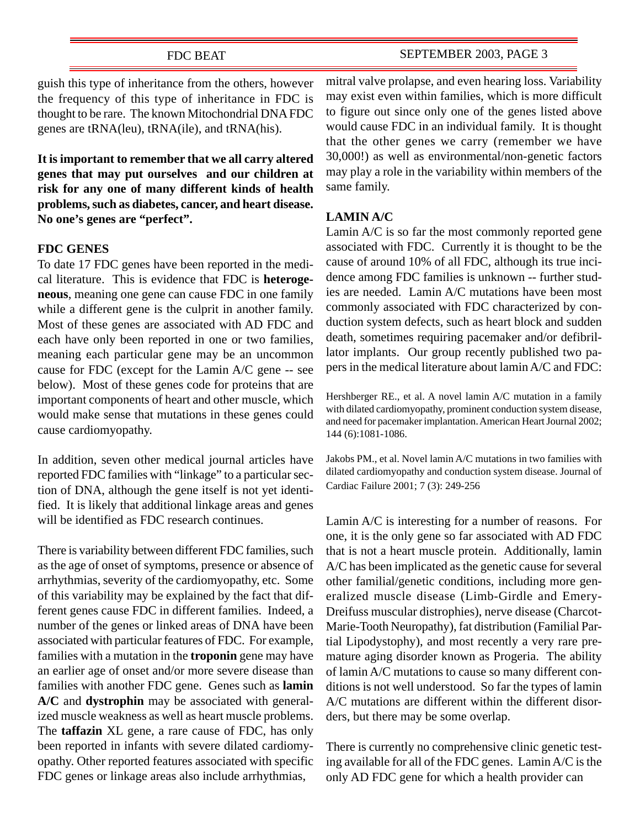# FDC BEAT

# SEPTEMBER 2003, PAGE 3

guish this type of inheritance from the others, however the frequency of this type of inheritance in FDC is thought to be rare. The known Mitochondrial DNA FDC genes are tRNA(leu), tRNA(ile), and tRNA(his).

**It is important to remember that we all carry altered genes that may put ourselves and our children at risk for any one of many different kinds of health problems, such as diabetes, cancer, and heart disease. No one's genes are "perfect".**

# **FDC GENES**

To date 17 FDC genes have been reported in the medical literature. This is evidence that FDC is **heterogeneous**, meaning one gene can cause FDC in one family while a different gene is the culprit in another family. Most of these genes are associated with AD FDC and each have only been reported in one or two families, meaning each particular gene may be an uncommon cause for FDC (except for the Lamin A/C gene -- see below). Most of these genes code for proteins that are important components of heart and other muscle, which would make sense that mutations in these genes could cause cardiomyopathy.

In addition, seven other medical journal articles have reported FDC families with "linkage" to a particular section of DNA, although the gene itself is not yet identified. It is likely that additional linkage areas and genes will be identified as FDC research continues.

There is variability between different FDC families, such as the age of onset of symptoms, presence or absence of arrhythmias, severity of the cardiomyopathy, etc. Some of this variability may be explained by the fact that different genes cause FDC in different families. Indeed, a number of the genes or linked areas of DNA have been associated with particular features of FDC. For example, families with a mutation in the **troponin** gene may have an earlier age of onset and/or more severe disease than families with another FDC gene. Genes such as **lamin A/C** and **dystrophin** may be associated with generalized muscle weakness as well as heart muscle problems. The **taffazin** XL gene, a rare cause of FDC, has only been reported in infants with severe dilated cardiomyopathy. Other reported features associated with specific FDC genes or linkage areas also include arrhythmias,

mitral valve prolapse, and even hearing loss. Variability may exist even within families, which is more difficult to figure out since only one of the genes listed above would cause FDC in an individual family. It is thought that the other genes we carry (remember we have 30,000!) as well as environmental/non-genetic factors may play a role in the variability within members of the same family.

#### **LAMIN A/C**

Lamin A/C is so far the most commonly reported gene associated with FDC. Currently it is thought to be the cause of around 10% of all FDC, although its true incidence among FDC families is unknown -- further studies are needed. Lamin A/C mutations have been most commonly associated with FDC characterized by conduction system defects, such as heart block and sudden death, sometimes requiring pacemaker and/or defibrillator implants. Our group recently published two papers in the medical literature about lamin A/C and FDC:

Hershberger RE., et al. A novel lamin A/C mutation in a family with dilated cardiomyopathy, prominent conduction system disease, and need for pacemaker implantation. American Heart Journal 2002; 144 (6):1081-1086.

Jakobs PM., et al. Novel lamin A/C mutations in two families with dilated cardiomyopathy and conduction system disease. Journal of Cardiac Failure 2001; 7 (3): 249-256

Lamin A/C is interesting for a number of reasons. For one, it is the only gene so far associated with AD FDC that is not a heart muscle protein. Additionally, lamin A/C has been implicated as the genetic cause for several other familial/genetic conditions, including more generalized muscle disease (Limb-Girdle and Emery-Dreifuss muscular distrophies), nerve disease (Charcot-Marie-Tooth Neuropathy), fat distribution (Familial Partial Lipodystophy), and most recently a very rare premature aging disorder known as Progeria. The ability of lamin A/C mutations to cause so many different conditions is not well understood. So far the types of lamin A/C mutations are different within the different disorders, but there may be some overlap.

There is currently no comprehensive clinic genetic testing available for all of the FDC genes. Lamin A/C is the only AD FDC gene for which a health provider can